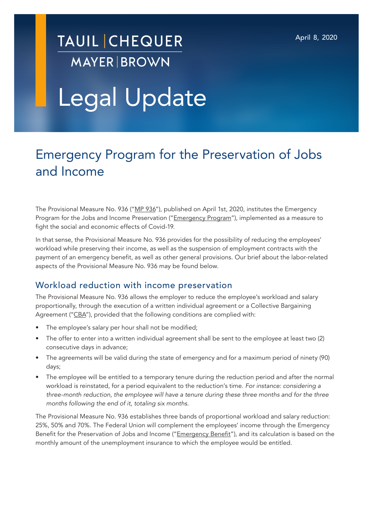## **TAUIL CHEQUER MAYER BROWN**

# Legal Update

### Emergency Program for the Preservation of Jobs and Income

The Provisional Measure No. 936 ("MP 936"), published on April 1st, 2020, institutes the Emergency Program for the Jobs and Income Preservation ("*Emergency Program"*), implemented as a measure to fight the social and economic effects of Covid-19.

In that sense, the Provisional Measure No. 936 provides for the possibility of reducing the employees' workload while preserving their income, as well as the suspension of employment contracts with the payment of an emergency benefit, as well as other general provisions. Our brief about the labor-related aspects of the Provisional Measure No. 936 may be found below.

#### Workload reduction with income preservation

The Provisional Measure No. 936 allows the employer to reduce the employee's workload and salary proportionally, through the execution of a written individual agreement or a Collective Bargaining Agreement ("CBA"), provided that the following conditions are complied with:

- The employee's salary per hour shall not be modified;
- The offer to enter into a written individual agreement shall be sent to the employee at least two (2) consecutive days in advance;
- The agreements will be valid during the state of emergency and for a maximum period of ninety (90) days;
- The employee will be entitled to a temporary tenure during the reduction period and after the normal workload is reinstated, for a period equivalent to the reduction's time. *For instance: considering a three-month reduction, the employee will have a tenure during these three months and for the three months following the end of it, totaling six months*.

The Provisional Measure No. 936 establishes three bands of proportional workload and salary reduction: 25%, 50% and 70%. The Federal Union will complement the employees' income through the Emergency Benefit for the Preservation of Jobs and Income ("Emergency Benefit"), and its calculation is based on the monthly amount of the unemployment insurance to which the employee would be entitled.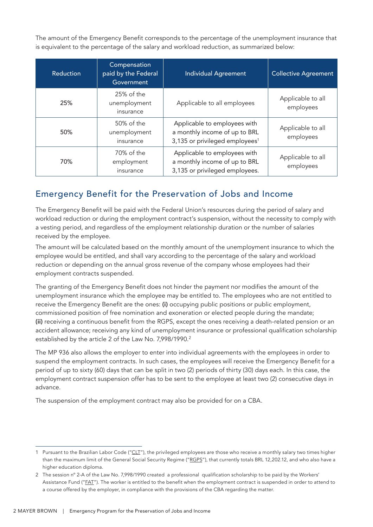The amount of the Emergency Benefit corresponds to the percentage of the unemployment insurance that is equivalent to the percentage of the salary and workload reduction, as summarized below:

| Reduction | Compensation<br>paid by the Federal<br>Government | <b>Individual Agreement</b>                                                                                 | <b>Collective Agreement</b>    |
|-----------|---------------------------------------------------|-------------------------------------------------------------------------------------------------------------|--------------------------------|
| 25%       | 25% of the<br>unemployment<br>insurance           | Applicable to all employees                                                                                 | Applicable to all<br>employees |
| 50%       | 50% of the<br>unemployment<br>insurance           | Applicable to employees with<br>a monthly income of up to BRL<br>3,135 or privileged employees <sup>1</sup> | Applicable to all<br>employees |
| 70%       | 70% of the<br>employment<br>insurance             | Applicable to employees with<br>a monthly income of up to BRL<br>3,135 or privileged employees.             | Applicable to all<br>employees |

#### Emergency Benefit for the Preservation of Jobs and Income

The Emergency Benefit will be paid with the Federal Union's resources during the period of salary and workload reduction or during the employment contract's suspension, without the necessity to comply with a vesting period, and regardless of the employment relationship duration or the number of salaries received by the employee.

The amount will be calculated based on the monthly amount of the unemployment insurance to which the employee would be entitled, and shall vary according to the percentage of the salary and workload reduction or depending on the annual gross revenue of the company whose employees had their employment contracts suspended.

The granting of the Emergency Benefit does not hinder the payment nor modifies the amount of the unemployment insurance which the employee may be entitled to. The employees who are not entitled to receive the Emergency Benefit are the ones: (i) occupying public positions or public employment, commissioned position of free nomination and exoneration or elected people during the mandate; (ii) receiving a continuous benefit from the RGPS, except the ones receiving a death-related pension or an accident allowance; receiving any kind of unemployment insurance or professional qualification scholarship established by the article 2 of the Law No. 7,998/1990.<sup>2</sup>

The MP 936 also allows the employer to enter into individual agreements with the employees in order to suspend the employment contracts. In such cases, the employees will receive the Emergency Benefit for a period of up to sixty (60) days that can be split in two (2) periods of thirty (30) days each. In this case, the employment contract suspension offer has to be sent to the employee at least two (2) consecutive days in advance.

The suspension of the employment contract may also be provided for on a CBA.

<sup>1</sup> Pursuant to the Brazilian Labor Code ("CLT"), the privileged employees are those who receive a monthly salary two times higher than the maximum limit of the General Social Security Regime ("RGPS"), that currently totals BRL 12,202.12, and who also have a higher education diploma.

<sup>2</sup> The session n° 2-A of the Law No. 7,998/1990 created a professional qualification scholarship to be paid by the Workers' Assistance Fund ("EAT"). The worker is entitled to the benefit when the employment contract is suspended in order to attend to a course offered by the employer, in compliance with the provisions of the CBA regarding the matter.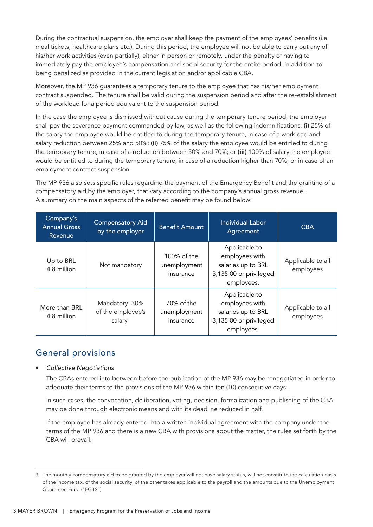During the contractual suspension, the employer shall keep the payment of the employees' benefits (i.e. meal tickets, healthcare plans etc.). During this period, the employee will not be able to carry out any of his/her work activities (even partially), either in person or remotely, under the penalty of having to immediately pay the employee's compensation and social security for the entire period, in addition to being penalized as provided in the current legislation and/or applicable CBA.

Moreover, the MP 936 guarantees a temporary tenure to the employee that has his/her employment contract suspended. The tenure shall be valid during the suspension period and after the re-establishment of the workload for a period equivalent to the suspension period.

In the case the employee is dismissed without cause during the temporary tenure period, the employer shall pay the severance payment commanded by law, as well as the following indemnifications: (i) 25% of the salary the employee would be entitled to during the temporary tenure, in case of a workload and salary reduction between 25% and 50%; (ii) 75% of the salary the employee would be entitled to during the temporary tenure, in case of a reduction between 50% and 70%; or (iii) 100% of salary the employee would be entitled to during the temporary tenure, in case of a reduction higher than 70%, or in case of an employment contract suspension.

The MP 936 also sets specific rules regarding the payment of the Emergency Benefit and the granting of a compensatory aid by the employer, that vary according to the company's annual gross revenue. A summary on the main aspects of the referred benefit may be found below:

| Company's<br><b>Annual Gross</b><br>Revenue | <b>Compensatory Aid</b><br>by the employer        | <b>Benefit Amount</b>                    | <b>Individual Labor</b><br>Agreement                                                          | <b>CBA</b>                     |
|---------------------------------------------|---------------------------------------------------|------------------------------------------|-----------------------------------------------------------------------------------------------|--------------------------------|
| Up to BRL<br>4.8 million                    | Not mandatory                                     | 100% of the<br>unemployment<br>insurance | Applicable to<br>employees with<br>salaries up to BRL<br>3,135.00 or privileged<br>employees. | Applicable to all<br>employees |
| More than BRL<br>4.8 million                | Mandatory. 30%<br>of the employee's<br>salary $3$ | 70% of the<br>unemployment<br>insurance  | Applicable to<br>employees with<br>salaries up to BRL<br>3,135.00 or privileged<br>employees. | Applicable to all<br>employees |

#### General provisions

#### • *Collective Negotiations*

The CBAs entered into between before the publication of the MP 936 may be renegotiated in order to adequate their terms to the provisions of the MP 936 within ten (10) consecutive days.

In such cases, the convocation, deliberation, voting, decision, formalization and publishing of the CBA may be done through electronic means and with its deadline reduced in half.

If the employee has already entered into a written individual agreement with the company under the terms of the MP 936 and there is a new CBA with provisions about the matter, the rules set forth by the CBA will prevail.

<sup>3</sup> The monthly compensatory aid to be granted by the employer will not have salary status, will not constitute the calculation basis of the income tax, of the social security, of the other taxes applicable to the payroll and the amounts due to the Unemployment Guarantee Fund ("FGTS")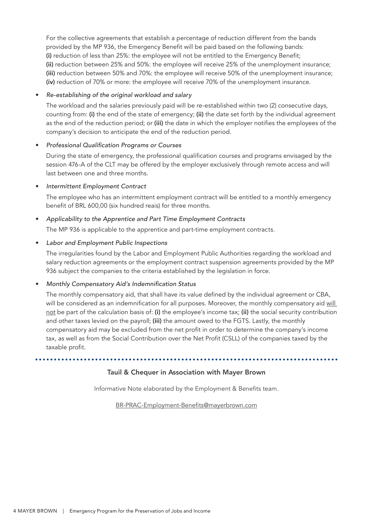For the collective agreements that establish a percentage of reduction different from the bands provided by the MP 936, the Emergency Benefit will be paid based on the following bands: (i) reduction of less than 25%: the employee will not be entitled to the Emergency Benefit; (ii) reduction between 25% and 50%: the employee will receive 25% of the unemployment insurance; (iii) reduction between 50% and 70%: the employee will receive 50% of the unemployment insurance; (iv) reduction of 70% or more: the employee will receive 70% of the unemployment insurance.

#### • *Re-establishing of the original workload and salary*

The workload and the salaries previously paid will be re-established within two (2) consecutive days, counting from: (i) the end of the state of emergency; (ii) the date set forth by the individual agreement as the end of the reduction period; or (iii) the date in which the employer notifies the employees of the company's decision to anticipate the end of the reduction period.

#### • Professional Qualification Programs or Courses

During the state of emergency, the professional qualification courses and programs envisaged by the session 476-A of the CLT may be offered by the employer exclusively through remote access and will last between one and three months.

#### • Intermittent Employment Contract

The employee who has an intermittent employment contract will be entitled to a monthly emergency benefit of BRL 600,00 (six hundred reais) for three months.

#### • Applicability to the Apprentice and Part Time Employment Contracts

The MP 936 is applicable to the apprentice and part-time employment contracts.

#### • Labor and Employment Public Inspections

The irregularities found by the Labor and Employment Public Authorities regarding the workload and salary reduction agreements or the employment contract suspension agreements provided by the MP 936 subject the companies to the criteria established by the legislation in force.

#### • Monthly Compensatory Aid's Indemnification Status

The monthly compensatory aid, that shall have its value defined by the individual agreement or CBA, will be considered as an indemnification for all purposes. Moreover, the monthly compensatory aid will not be part of the calculation basis of: (i) the employee's income tax; (ii) the social security contribution and other taxes levied on the payroll; (iii) the amount owed to the FGTS. Lastly, the monthly compensatory aid may be excluded from the net profit in order to determine the company's income tax, as well as from the Social Contribution over the Net Profit (CSLL) of the companies taxed by the taxable profit.

. . . . . . . . . . .

#### Tauil & Chequer in Association with Mayer Brown

Informative Note elaborated by the Employment & Benefits team.

BR-PRAC-Employment-Benefits@mayerbrown.com